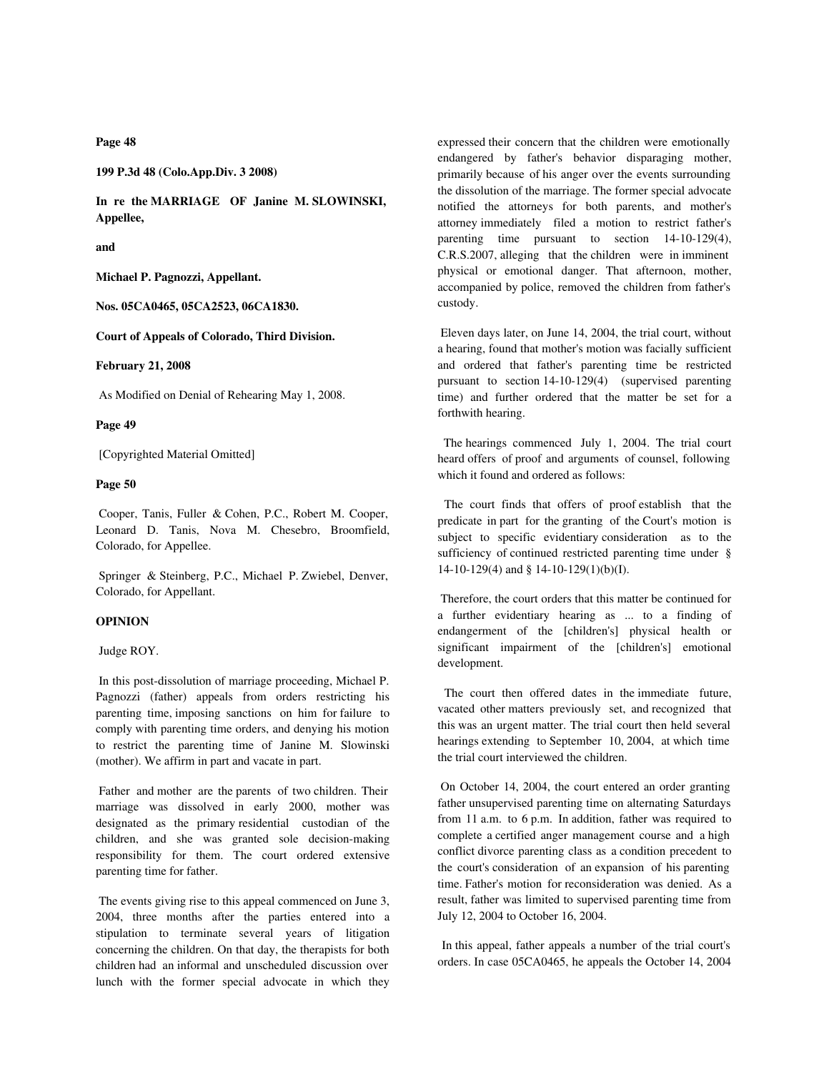**Page 48**

**199 P.3d 48 (Colo.App.Div. 3 2008)**

**In re the MARRIAGE OF Janine M. SLOWINSKI, Appellee,**

**and**

**Michael P. Pagnozzi, Appellant.**

**Nos. 05CA0465, 05CA2523, 06CA1830.**

**Court of Appeals of Colorado, Third Division.**

### **February 21, 2008**

As Modified on Denial of Rehearing May 1, 2008.

#### **Page 49**

[Copyrighted Material Omitted]

# **Page 50**

 Cooper, Tanis, Fuller & Cohen, P.C., Robert M. Cooper, Leonard D. Tanis, Nova M. Chesebro, Broomfield, Colorado, for Appellee.

 Springer & Steinberg, P.C., Michael P. Zwiebel, Denver, Colorado, for Appellant.

#### **OPINION**

Judge ROY.

 In this post-dissolution of marriage proceeding, Michael P. Pagnozzi (father) appeals from orders restricting his parenting time, imposing sanctions on him for failure to comply with parenting time orders, and denying his motion to restrict the parenting time of Janine M. Slowinski (mother). We affirm in part and vacate in part.

 Father and mother are the parents of two children. Their marriage was dissolved in early 2000, mother was designated as the primary residential custodian of the children, and she was granted sole decision-making responsibility for them. The court ordered extensive parenting time for father.

 The events giving rise to this appeal commenced on June 3, 2004, three months after the parties entered into a stipulation to terminate several years of litigation concerning the children. On that day, the therapists for both children had an informal and unscheduled discussion over lunch with the former special advocate in which they

expressed their concern that the children were emotionally endangered by father's behavior disparaging mother, primarily because of his anger over the events surrounding the dissolution of the marriage. The former special advocate notified the attorneys for both parents, and mother's attorney immediately filed a motion to restrict father's parenting time pursuant to section 14-10-129(4), C.R.S.2007, alleging that the children were in imminent physical or emotional danger. That afternoon, mother, accompanied by police, removed the children from father's custody.

 Eleven days later, on June 14, 2004, the trial court, without a hearing, found that mother's motion was facially sufficient and ordered that father's parenting time be restricted pursuant to section 14-10-129(4) (supervised parenting time) and further ordered that the matter be set for a forthwith hearing.

 The hearings commenced July 1, 2004. The trial court heard offers of proof and arguments of counsel, following which it found and ordered as follows:

 The court finds that offers of proof establish that the predicate in part for the granting of the Court's motion is subject to specific evidentiary consideration as to the sufficiency of continued restricted parenting time under § 14-10-129(4) and § 14-10-129(1)(b)(I).

 Therefore, the court orders that this matter be continued for a further evidentiary hearing as ... to a finding of endangerment of the [children's] physical health or significant impairment of the [children's] emotional development.

 The court then offered dates in the immediate future, vacated other matters previously set, and recognized that this was an urgent matter. The trial court then held several hearings extending to September 10, 2004, at which time the trial court interviewed the children.

 On October 14, 2004, the court entered an order granting father unsupervised parenting time on alternating Saturdays from 11 a.m. to 6 p.m. In addition, father was required to complete a certified anger management course and a high conflict divorce parenting class as a condition precedent to the court's consideration of an expansion of his parenting time. Father's motion for reconsideration was denied. As a result, father was limited to supervised parenting time from July 12, 2004 to October 16, 2004.

 In this appeal, father appeals a number of the trial court's orders. In case 05CA0465, he appeals the October 14, 2004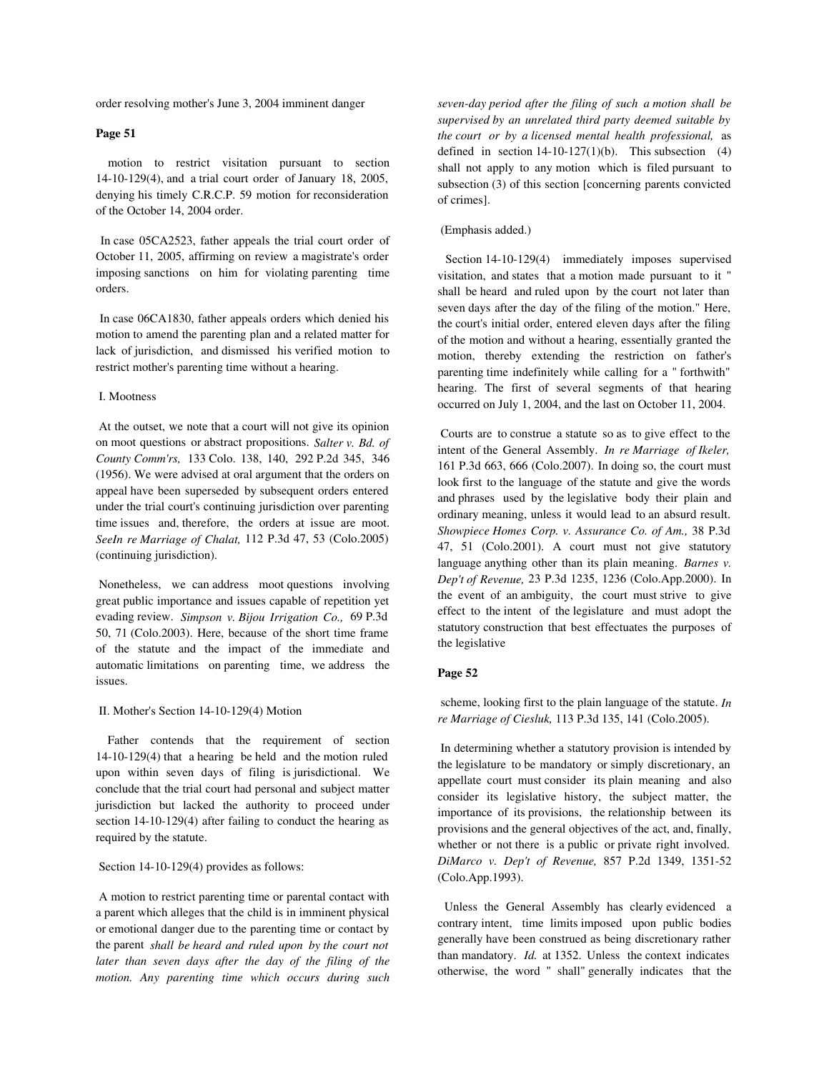order resolving mother's June 3, 2004 imminent danger

# **Page 51**

 motion to restrict visitation pursuant to section 14-10-129(4), and a trial court order of January 18, 2005, denying his timely C.R.C.P. 59 motion for reconsideration of the October 14, 2004 order.

 In case 05CA2523, father appeals the trial court order of October 11, 2005, affirming on review a magistrate's order imposing sanctions on him for violating parenting time orders.

 In case 06CA1830, father appeals orders which denied his motion to amend the parenting plan and a related matter for lack of jurisdiction, and dismissed his verified motion to restrict mother's parenting time without a hearing.

### I. Mootness

 At the outset, we note that a court will not give its opinion on moot questions or abstract propositions. *Salter v. Bd. of County Comm'rs,* 133 Colo. 138, 140, 292 P.2d 345, 346 (1956). We were advised at oral argument that the orders on appeal have been superseded by subsequent orders entered under the trial court's continuing jurisdiction over parenting time issues and, therefore, the orders at issue are moot. *SeeIn re Marriage of Chalat,* 112 P.3d 47, 53 (Colo.2005) (continuing jurisdiction).

 Nonetheless, we can address moot questions involving great public importance and issues capable of repetition yet evading review. *Simpson v. Bijou Irrigation Co.,* 69 P.3d 50, 71 (Colo.2003). Here, because of the short time frame of the statute and the impact of the immediate and automatic limitations on parenting time, we address the issues.

### II. Mother's Section 14-10-129(4) Motion

 Father contends that the requirement of section 14-10-129(4) that a hearing be held and the motion ruled upon within seven days of filing is jurisdictional. We conclude that the trial court had personal and subject matter jurisdiction but lacked the authority to proceed under section 14-10-129(4) after failing to conduct the hearing as required by the statute.

## Section 14-10-129(4) provides as follows:

 A motion to restrict parenting time or parental contact with a parent which alleges that the child is in imminent physical or emotional danger due to the parenting time or contact by the parent *shall be heard and ruled upon by the court not later than seven days after the day of the filing of the motion. Any parenting time which occurs during such*

*seven-day period after the filing of such a motion shall be supervised by an unrelated third party deemed suitable by the court or by a licensed mental health professional,* as defined in section  $14-10-127(1)(b)$ . This subsection (4) shall not apply to any motion which is filed pursuant to subsection (3) of this section [concerning parents convicted of crimes].

# (Emphasis added.)

 Section 14-10-129(4) immediately imposes supervised visitation, and states that a motion made pursuant to it " shall be heard and ruled upon by the court not later than seven days after the day of the filing of the motion." Here, the court's initial order, entered eleven days after the filing of the motion and without a hearing, essentially granted the motion, thereby extending the restriction on father's parenting time indefinitely while calling for a " forthwith" hearing. The first of several segments of that hearing occurred on July 1, 2004, and the last on October 11, 2004.

 Courts are to construe a statute so as to give effect to the intent of the General Assembly. *In re Marriage of Ikeler,* 161 P.3d 663, 666 (Colo.2007). In doing so, the court must look first to the language of the statute and give the words and phrases used by the legislative body their plain and ordinary meaning, unless it would lead to an absurd result. *Showpiece Homes Corp. v. Assurance Co. of Am.,* 38 P.3d 47, 51 (Colo.2001). A court must not give statutory language anything other than its plain meaning. *Barnes v. Dep't of Revenue,* 23 P.3d 1235, 1236 (Colo.App.2000). In the event of an ambiguity, the court must strive to give effect to the intent of the legislature and must adopt the statutory construction that best effectuates the purposes of the legislative

## **Page 52**

 scheme, looking first to the plain language of the statute. *In re Marriage of Ciesluk,* 113 P.3d 135, 141 (Colo.2005).

 In determining whether a statutory provision is intended by the legislature to be mandatory or simply discretionary, an appellate court must consider its plain meaning and also consider its legislative history, the subject matter, the importance of its provisions, the relationship between its provisions and the general objectives of the act, and, finally, whether or not there is a public or private right involved. *DiMarco v. Dep't of Revenue,* 857 P.2d 1349, 1351-52 (Colo.App.1993).

 Unless the General Assembly has clearly evidenced a contrary intent, time limits imposed upon public bodies generally have been construed as being discretionary rather than mandatory. *Id.* at 1352. Unless the context indicates otherwise, the word " shall" generally indicates that the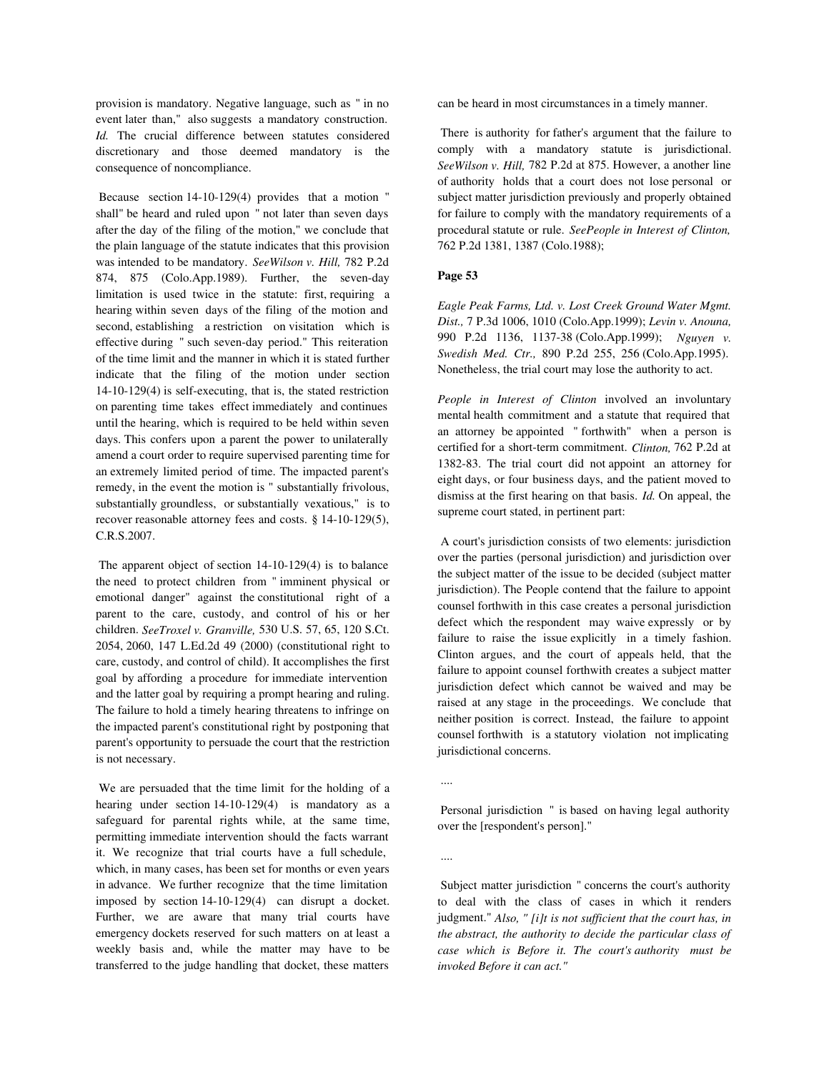provision is mandatory. Negative language, such as " in no event later than," also suggests a mandatory construction. *Id.* The crucial difference between statutes considered discretionary and those deemed mandatory is the consequence of noncompliance.

 Because section 14-10-129(4) provides that a motion " shall" be heard and ruled upon " not later than seven days after the day of the filing of the motion," we conclude that the plain language of the statute indicates that this provision was intended to be mandatory. *SeeWilson v. Hill,* 782 P.2d 874, 875 (Colo.App.1989). Further, the seven-day limitation is used twice in the statute: first, requiring a hearing within seven days of the filing of the motion and second, establishing a restriction on visitation which is effective during " such seven-day period." This reiteration of the time limit and the manner in which it is stated further indicate that the filing of the motion under section 14-10-129(4) is self-executing, that is, the stated restriction on parenting time takes effect immediately and continues until the hearing, which is required to be held within seven days. This confers upon a parent the power to unilaterally amend a court order to require supervised parenting time for an extremely limited period of time. The impacted parent's remedy, in the event the motion is " substantially frivolous, substantially groundless, or substantially vexatious," is to recover reasonable attorney fees and costs. § 14-10-129(5), C.R.S.2007.

 The apparent object of section 14-10-129(4) is to balance the need to protect children from " imminent physical or emotional danger" against the constitutional right of a parent to the care, custody, and control of his or her children. *SeeTroxel v. Granville,* 530 U.S. 57, 65, 120 S.Ct. 2054, 2060, 147 L.Ed.2d 49 (2000) (constitutional right to care, custody, and control of child). It accomplishes the first goal by affording a procedure for immediate intervention and the latter goal by requiring a prompt hearing and ruling. The failure to hold a timely hearing threatens to infringe on the impacted parent's constitutional right by postponing that parent's opportunity to persuade the court that the restriction is not necessary.

 We are persuaded that the time limit for the holding of a hearing under section 14-10-129(4) is mandatory as a safeguard for parental rights while, at the same time, permitting immediate intervention should the facts warrant it. We recognize that trial courts have a full schedule, which, in many cases, has been set for months or even years in advance. We further recognize that the time limitation imposed by section 14-10-129(4) can disrupt a docket. Further, we are aware that many trial courts have emergency dockets reserved for such matters on at least a weekly basis and, while the matter may have to be transferred to the judge handling that docket, these matters

can be heard in most circumstances in a timely manner.

 There is authority for father's argument that the failure to comply with a mandatory statute is jurisdictional. *SeeWilson v. Hill,* 782 P.2d at 875. However, a another line of authority holds that a court does not lose personal or subject matter jurisdiction previously and properly obtained for failure to comply with the mandatory requirements of a procedural statute or rule. *SeePeople in Interest of Clinton,* 762 P.2d 1381, 1387 (Colo.1988);

# **Page 53**

*Eagle Peak Farms, Ltd. v. Lost Creek Ground Water Mgmt. Dist.,* 7 P.3d 1006, 1010 (Colo.App.1999); *Levin v. Anouna,* 990 P.2d 1136, 1137-38 (Colo.App.1999); *Nguyen v. Swedish Med. Ctr.,* 890 P.2d 255, 256 (Colo.App.1995). Nonetheless, the trial court may lose the authority to act.

*People in Interest of Clinton* involved an involuntary mental health commitment and a statute that required that an attorney be appointed " forthwith" when a person is certified for a short-term commitment. *Clinton,* 762 P.2d at 1382-83. The trial court did not appoint an attorney for eight days, or four business days, and the patient moved to dismiss at the first hearing on that basis. *Id.* On appeal, the supreme court stated, in pertinent part:

 A court's jurisdiction consists of two elements: jurisdiction over the parties (personal jurisdiction) and jurisdiction over the subject matter of the issue to be decided (subject matter jurisdiction). The People contend that the failure to appoint counsel forthwith in this case creates a personal jurisdiction defect which the respondent may waive expressly or by failure to raise the issue explicitly in a timely fashion. Clinton argues, and the court of appeals held, that the failure to appoint counsel forthwith creates a subject matter jurisdiction defect which cannot be waived and may be raised at any stage in the proceedings. We conclude that neither position is correct. Instead, the failure to appoint counsel forthwith is a statutory violation not implicating jurisdictional concerns.

....

 Personal jurisdiction " is based on having legal authority over the [respondent's person]."

....

 Subject matter jurisdiction " concerns the court's authority to deal with the class of cases in which it renders judgment." *Also, " [i]t is not sufficient that the court has, in the abstract, the authority to decide the particular class of case which is Before it. The court's authority must be invoked Before it can act."*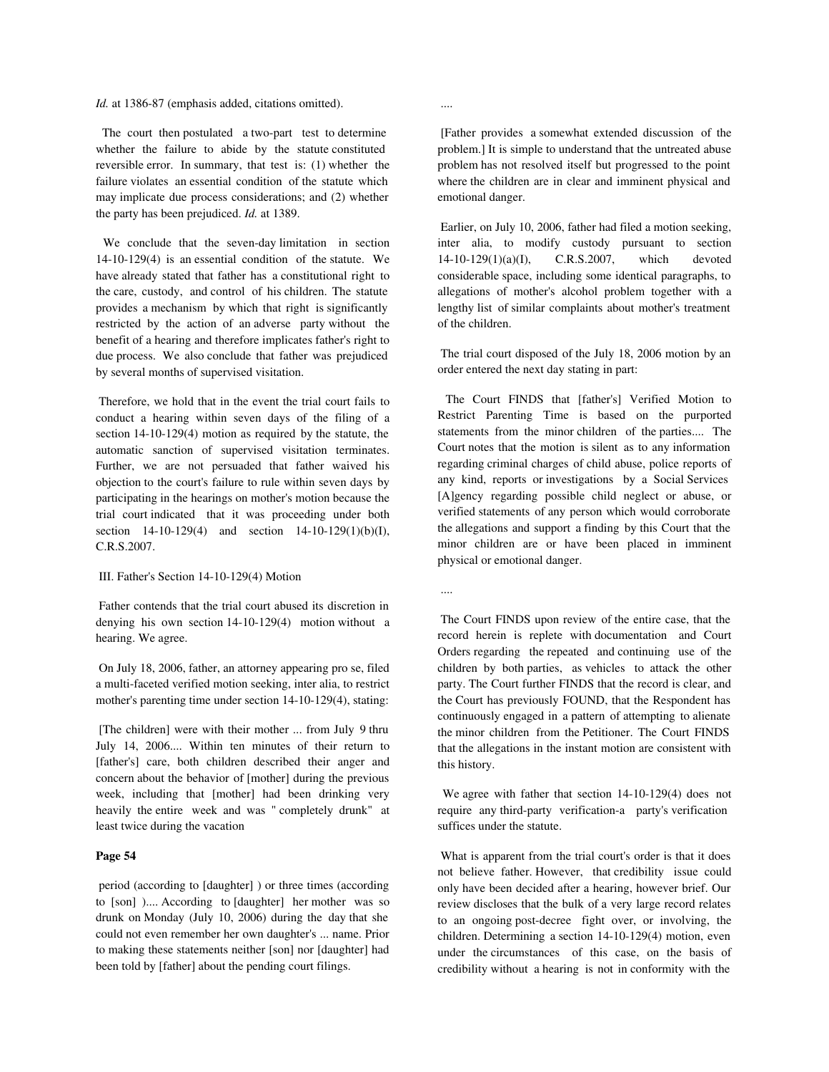*Id.* at 1386-87 (emphasis added, citations omitted).

 The court then postulated a two-part test to determine whether the failure to abide by the statute constituted reversible error. In summary, that test is: (1) whether the failure violates an essential condition of the statute which may implicate due process considerations; and (2) whether the party has been prejudiced. *Id.* at 1389.

 We conclude that the seven-day limitation in section 14-10-129(4) is an essential condition of the statute. We have already stated that father has a constitutional right to the care, custody, and control of his children. The statute provides a mechanism by which that right is significantly restricted by the action of an adverse party without the benefit of a hearing and therefore implicates father's right to due process. We also conclude that father was prejudiced by several months of supervised visitation.

 Therefore, we hold that in the event the trial court fails to conduct a hearing within seven days of the filing of a section 14-10-129(4) motion as required by the statute, the automatic sanction of supervised visitation terminates. Further, we are not persuaded that father waived his objection to the court's failure to rule within seven days by participating in the hearings on mother's motion because the trial court indicated that it was proceeding under both section 14-10-129(4) and section 14-10-129(1)(b)(I), C.R.S.2007.

### III. Father's Section 14-10-129(4) Motion

 Father contends that the trial court abused its discretion in denying his own section 14-10-129(4) motion without a hearing. We agree.

 On July 18, 2006, father, an attorney appearing pro se, filed a multi-faceted verified motion seeking, inter alia, to restrict mother's parenting time under section 14-10-129(4), stating:

 [The children] were with their mother ... from July 9 thru July 14, 2006.... Within ten minutes of their return to [father's] care, both children described their anger and concern about the behavior of [mother] during the previous week, including that [mother] had been drinking very heavily the entire week and was " completely drunk" at least twice during the vacation

# **Page 54**

 period (according to [daughter] ) or three times (according to [son] ).... According to [daughter] her mother was so drunk on Monday (July 10, 2006) during the day that she could not even remember her own daughter's ... name. Prior to making these statements neither [son] nor [daughter] had been told by [father] about the pending court filings.

....

 [Father provides a somewhat extended discussion of the problem.] It is simple to understand that the untreated abuse problem has not resolved itself but progressed to the point where the children are in clear and imminent physical and emotional danger.

 Earlier, on July 10, 2006, father had filed a motion seeking, inter alia, to modify custody pursuant to section 14-10-129(1)(a)(I), C.R.S.2007, which devoted considerable space, including some identical paragraphs, to allegations of mother's alcohol problem together with a lengthy list of similar complaints about mother's treatment of the children.

 The trial court disposed of the July 18, 2006 motion by an order entered the next day stating in part:

 The Court FINDS that [father's] Verified Motion to Restrict Parenting Time is based on the purported statements from the minor children of the parties.... The Court notes that the motion is silent as to any information regarding criminal charges of child abuse, police reports of any kind, reports or investigations by a Social Services [A]gency regarding possible child neglect or abuse, or verified statements of any person which would corroborate the allegations and support a finding by this Court that the minor children are or have been placed in imminent physical or emotional danger.

....

 The Court FINDS upon review of the entire case, that the record herein is replete with documentation and Court Orders regarding the repeated and continuing use of the children by both parties, as vehicles to attack the other party. The Court further FINDS that the record is clear, and the Court has previously FOUND, that the Respondent has continuously engaged in a pattern of attempting to alienate the minor children from the Petitioner. The Court FINDS that the allegations in the instant motion are consistent with this history.

 We agree with father that section 14-10-129(4) does not require any third-party verification-a party's verification suffices under the statute.

 What is apparent from the trial court's order is that it does not believe father. However, that credibility issue could only have been decided after a hearing, however brief. Our review discloses that the bulk of a very large record relates to an ongoing post-decree fight over, or involving, the children. Determining a section 14-10-129(4) motion, even under the circumstances of this case, on the basis of credibility without a hearing is not in conformity with the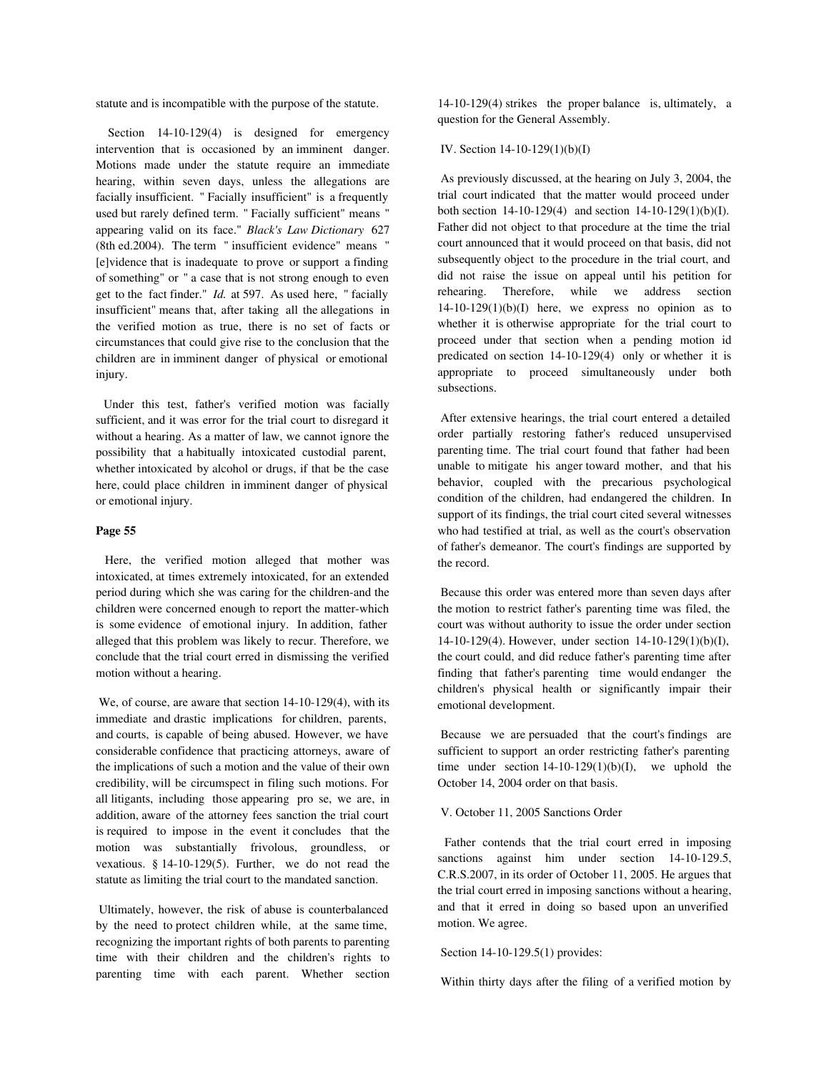statute and is incompatible with the purpose of the statute.

Section 14-10-129(4) is designed for emergency intervention that is occasioned by an imminent danger. Motions made under the statute require an immediate hearing, within seven days, unless the allegations are facially insufficient. " Facially insufficient" is a frequently used but rarely defined term. " Facially sufficient" means " appearing valid on its face." *Black's Law Dictionary* 627 (8th ed.2004). The term " insufficient evidence" means " [e]vidence that is inadequate to prove or support a finding of something" or " a case that is not strong enough to even get to the fact finder." *Id.* at 597. As used here, " facially insufficient" means that, after taking all the allegations in the verified motion as true, there is no set of facts or circumstances that could give rise to the conclusion that the children are in imminent danger of physical or emotional injury.

 Under this test, father's verified motion was facially sufficient, and it was error for the trial court to disregard it without a hearing. As a matter of law, we cannot ignore the possibility that a habitually intoxicated custodial parent, whether intoxicated by alcohol or drugs, if that be the case here, could place children in imminent danger of physical or emotional injury.

#### **Page 55**

 Here, the verified motion alleged that mother was intoxicated, at times extremely intoxicated, for an extended period during which she was caring for the children-and the children were concerned enough to report the matter-which is some evidence of emotional injury. In addition, father alleged that this problem was likely to recur. Therefore, we conclude that the trial court erred in dismissing the verified motion without a hearing.

 We, of course, are aware that section 14-10-129(4), with its immediate and drastic implications for children, parents, and courts, is capable of being abused. However, we have considerable confidence that practicing attorneys, aware of the implications of such a motion and the value of their own credibility, will be circumspect in filing such motions. For all litigants, including those appearing pro se, we are, in addition, aware of the attorney fees sanction the trial court is required to impose in the event it concludes that the motion was substantially frivolous, groundless, or vexatious. § 14-10-129(5). Further, we do not read the statute as limiting the trial court to the mandated sanction.

 Ultimately, however, the risk of abuse is counterbalanced by the need to protect children while, at the same time, recognizing the important rights of both parents to parenting time with their children and the children's rights to parenting time with each parent. Whether section

14-10-129(4) strikes the proper balance is, ultimately, a question for the General Assembly.

#### IV. Section 14-10-129(1)(b)(I)

 As previously discussed, at the hearing on July 3, 2004, the trial court indicated that the matter would proceed under both section 14-10-129(4) and section 14-10-129(1)(b)(I). Father did not object to that procedure at the time the trial court announced that it would proceed on that basis, did not subsequently object to the procedure in the trial court, and did not raise the issue on appeal until his petition for rehearing. Therefore, while we address section  $14-10-129(1)(b)(I)$  here, we express no opinion as to whether it is otherwise appropriate for the trial court to proceed under that section when a pending motion id predicated on section 14-10-129(4) only or whether it is appropriate to proceed simultaneously under both subsections.

 After extensive hearings, the trial court entered a detailed order partially restoring father's reduced unsupervised parenting time. The trial court found that father had been unable to mitigate his anger toward mother, and that his behavior, coupled with the precarious psychological condition of the children, had endangered the children. In support of its findings, the trial court cited several witnesses who had testified at trial, as well as the court's observation of father's demeanor. The court's findings are supported by the record.

 Because this order was entered more than seven days after the motion to restrict father's parenting time was filed, the court was without authority to issue the order under section 14-10-129(4). However, under section 14-10-129(1)(b)(I), the court could, and did reduce father's parenting time after finding that father's parenting time would endanger the children's physical health or significantly impair their emotional development.

 Because we are persuaded that the court's findings are sufficient to support an order restricting father's parenting time under section  $14-10-129(1)(b)(I)$ , we uphold the October 14, 2004 order on that basis.

## V. October 11, 2005 Sanctions Order

 Father contends that the trial court erred in imposing sanctions against him under section 14-10-129.5, C.R.S.2007, in its order of October 11, 2005. He argues that the trial court erred in imposing sanctions without a hearing, and that it erred in doing so based upon an unverified motion. We agree.

## Section 14-10-129.5(1) provides:

Within thirty days after the filing of a verified motion by